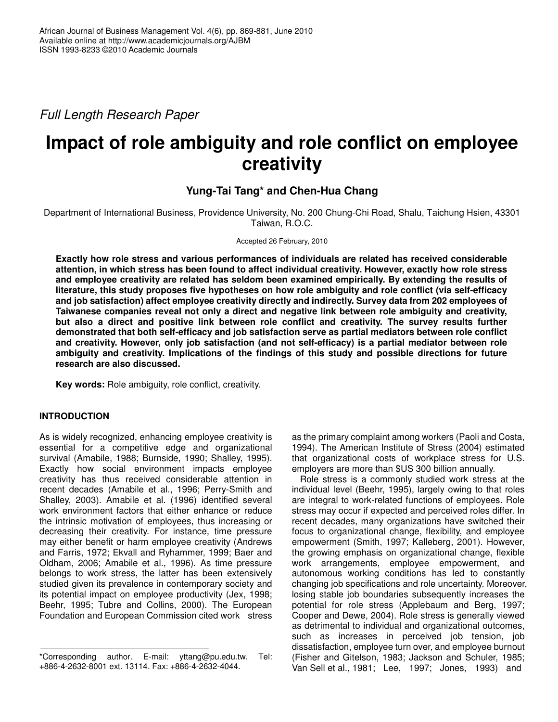*Full Length Research Paper*

# **Impact of role ambiguity and role conflict on employee creativity**

## **Yung-Tai Tang\* and Chen-Hua Chang**

Department of International Business, Providence University, No. 200 Chung-Chi Road, Shalu, Taichung Hsien, 43301 Taiwan, R.O.C.

Accepted 26 February, 2010

**Exactly how role stress and various performances of individuals are related has received considerable attention, in which stress has been found to affect individual creativity. However, exactly how role stress and employee creativity are related has seldom been examined empirically. By extending the results of literature, this study proposes five hypotheses on how role ambiguity and role conflict (via self-efficacy and job satisfaction) affect employee creativity directly and indirectly. Survey data from 202 employees of Taiwanese companies reveal not only a direct and negative link between role ambiguity and creativity, but also a direct and positive link between role conflict and creativity. The survey results further demonstrated that both self-efficacy and job satisfaction serve as partial mediators between role conflict and creativity. However, only job satisfaction (and not self-efficacy) is a partial mediator between role ambiguity and creativity. Implications of the findings of this study and possible directions for future research are also discussed.**

**Key words:** Role ambiguity, role conflict, creativity.

## **INTRODUCTION**

As is widely recognized, enhancing employee creativity is essential for a competitive edge and organizational survival (Amabile, 1988; Burnside, 1990; Shalley, 1995). Exactly how social environment impacts employee creativity has thus received considerable attention in recent decades (Amabile et al., 1996; Perry-Smith and Shalley, 2003). Amabile et al. (1996) identified several work environment factors that either enhance or reduce the intrinsic motivation of employees, thus increasing or decreasing their creativity. For instance, time pressure may either benefit or harm employee creativity (Andrews and Farris, 1972; Ekvall and Ryhammer, 1999; Baer and Oldham, 2006; Amabile et al., 1996). As time pressure belongs to work stress, the latter has been extensively studied given its prevalence in contemporary society and its potential impact on employee productivity (Jex, 1998; Beehr, 1995; Tubre and Collins, 2000). The European Foundation and European Commission cited work stress

as the primary complaint among workers (Paoli and Costa, 1994). The American Institute of Stress (2004) estimated that organizational costs of workplace stress for U.S. employers are more than \$US 300 billion annually.

Role stress is a commonly studied work stress at the individual level (Beehr, 1995), largely owing to that roles are integral to work-related functions of employees. Role stress may occur if expected and perceived roles differ. In recent decades, many organizations have switched their focus to organizational change, flexibility, and employee empowerment (Smith, 1997; Kalleberg, 2001). However, the growing emphasis on organizational change, flexible work arrangements, employee empowerment, and autonomous working conditions has led to constantly changing job specifications and role uncertainty. Moreover, losing stable job boundaries subsequently increases the potential for role stress (Applebaum and Berg, 1997; Cooper and Dewe, 2004). Role stress is generally viewed as detrimental to individual and organizational outcomes, such as increases in perceived job tension, job dissatisfaction, employee turn over, and employee burnout (Fisher and Gitelson, 1983; Jackson and Schuler, 1985; Van Sell et al., 1981; Lee, 1997; Jones, 1993) and

<sup>\*</sup>Corresponding author. E-mail: yttang@pu.edu.tw. Tel: +886-4-2632-8001 ext. 13114. Fax: +886-4-2632-4044.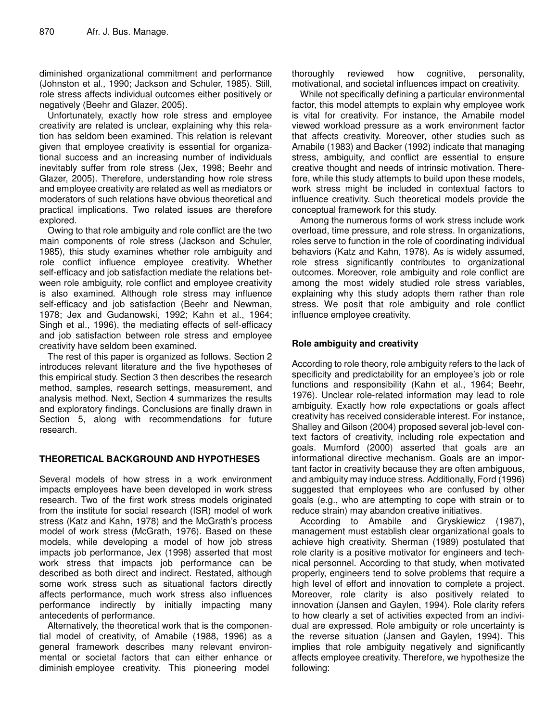diminished organizational commitment and performance (Johnston et al.*,* 1990; Jackson and Schuler, 1985). Still, role stress affects individual outcomes either positively or negatively (Beehr and Glazer, 2005).

Unfortunately, exactly how role stress and employee creativity are related is unclear, explaining why this relation has seldom been examined. This relation is relevant given that employee creativity is essential for organizational success and an increasing number of individuals inevitably suffer from role stress (Jex, 1998; Beehr and Glazer, 2005). Therefore, understanding how role stress and employee creativity are related as well as mediators or moderators of such relations have obvious theoretical and practical implications. Two related issues are therefore explored.

Owing to that role ambiguity and role conflict are the two main components of role stress (Jackson and Schuler, 1985), this study examines whether role ambiguity and role conflict influence employee creativity. Whether self-efficacy and job satisfaction mediate the relations between role ambiguity, role conflict and employee creativity is also examined. Although role stress may influence self-efficacy and job satisfaction (Beehr and Newman, 1978; Jex and Gudanowski, 1992; Kahn et al., 1964; Singh et al., 1996), the mediating effects of self-efficacy and job satisfaction between role stress and employee creativity have seldom been examined.

The rest of this paper is organized as follows. Section 2 introduces relevant literature and the five hypotheses of this empirical study. Section 3 then describes the research method, samples, research settings, measurement, and analysis method. Next, Section 4 summarizes the results and exploratory findings. Conclusions are finally drawn in Section 5, along with recommendations for future research.

## **THEORETICAL BACKGROUND AND HYPOTHESES**

Several models of how stress in a work environment impacts employees have been developed in work stress research. Two of the first work stress models originated from the institute for social research (ISR) model of work stress (Katz and Kahn, 1978) and the McGrath's process model of work stress (McGrath, 1976). Based on these models, while developing a model of how job stress impacts job performance, Jex (1998) asserted that most work stress that impacts job performance can be described as both direct and indirect. Restated, although some work stress such as situational factors directly affects performance, much work stress also influences performance indirectly by initially impacting many antecedents of performance.

Alternatively, the theoretical work that is the componential model of creativity, of Amabile (1988, 1996) as a general framework describes many relevant environmental or societal factors that can either enhance or diminish employee creativity. This pioneering model

thoroughly reviewed how cognitive, personality, motivational, and societal influences impact on creativity.

While not specifically defining a particular environmental factor, this model attempts to explain why employee work is vital for creativity. For instance, the Amabile model viewed workload pressure as a work environment factor that affects creativity. Moreover, other studies such as Amabile (1983) and Backer (1992) indicate that managing stress, ambiguity, and conflict are essential to ensure creative thought and needs of intrinsic motivation. Therefore, while this study attempts to build upon these models, work stress might be included in contextual factors to influence creativity. Such theoretical models provide the conceptual framework for this study.

Among the numerous forms of work stress include work overload, time pressure, and role stress. In organizations, roles serve to function in the role of coordinating individual behaviors (Katz and Kahn, 1978). As is widely assumed, role stress significantly contributes to organizational outcomes. Moreover, role ambiguity and role conflict are among the most widely studied role stress variables, explaining why this study adopts them rather than role stress. We posit that role ambiguity and role conflict influence employee creativity.

## **Role ambiguity and creativity**

According to role theory, role ambiguity refers to the lack of specificity and predictability for an employee's job or role functions and responsibility (Kahn et al., 1964; Beehr, 1976). Unclear role-related information may lead to role ambiguity. Exactly how role expectations or goals affect creativity has received considerable interest. For instance, Shalley and Gilson (2004) proposed several job-level context factors of creativity, including role expectation and goals. Mumford (2000) asserted that goals are an informational directive mechanism. Goals are an important factor in creativity because they are often ambiguous, and ambiguity may induce stress. Additionally, Ford (1996) suggested that employees who are confused by other goals (e.g., who are attempting to cope with strain or to reduce strain) may abandon creative initiatives.

According to Amabile and Gryskiewicz (1987), management must establish clear organizational goals to achieve high creativity. Sherman (1989) postulated that role clarity is a positive motivator for engineers and technical personnel. According to that study, when motivated properly, engineers tend to solve problems that require a high level of effort and innovation to complete a project. Moreover, role clarity is also positively related to innovation (Jansen and Gaylen, 1994). Role clarity refers to how clearly a set of activities expected from an individual are expressed. Role ambiguity or role uncertainty is the reverse situation (Jansen and Gaylen, 1994). This implies that role ambiguity negatively and significantly affects employee creativity. Therefore, we hypothesize the following: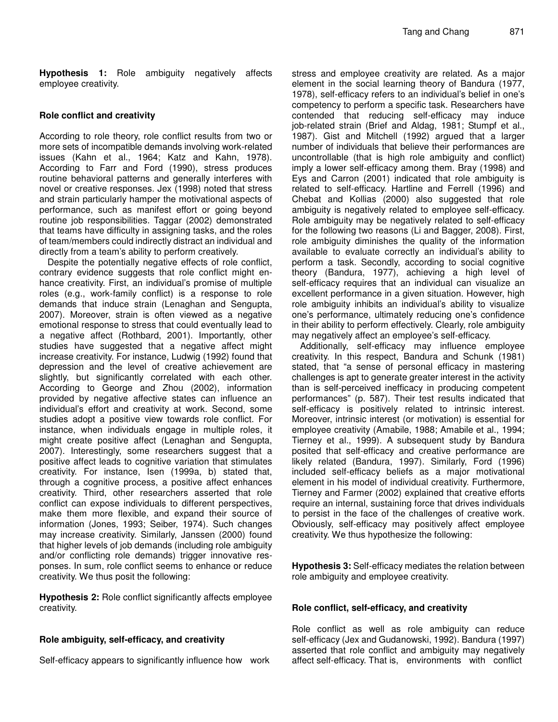**Hypothesis 1:** Role ambiguity negatively affects employee creativity.

## **Role conflict and creativity**

According to role theory, role conflict results from two or more sets of incompatible demands involving work-related issues (Kahn et al., 1964; Katz and Kahn, 1978). According to Farr and Ford (1990), stress produces routine behavioral patterns and generally interferes with novel or creative responses. Jex (1998) noted that stress and strain particularly hamper the motivational aspects of performance, such as manifest effort or going beyond routine job responsibilities. Taggar (2002) demonstrated that teams have difficulty in assigning tasks, and the roles of team/members could indirectly distract an individual and directly from a team's ability to perform creatively.

Despite the potentially negative effects of role conflict, contrary evidence suggests that role conflict might enhance creativity. First, an individual's promise of multiple roles (e.g., work-family conflict) is a response to role demands that induce strain (Lenaghan and Sengupta, 2007). Moreover, strain is often viewed as a negative emotional response to stress that could eventually lead to a negative affect (Rothbard, 2001). Importantly, other studies have suggested that a negative affect might increase creativity. For instance, Ludwig (1992) found that depression and the level of creative achievement are slightly, but significantly correlated with each other. According to George and Zhou (2002), information provided by negative affective states can influence an individual's effort and creativity at work. Second, some studies adopt a positive view towards role conflict. For instance, when individuals engage in multiple roles, it might create positive affect (Lenaghan and Sengupta, 2007). Interestingly, some researchers suggest that a positive affect leads to cognitive variation that stimulates creativity. For instance, Isen (1999a, b) stated that, through a cognitive process, a positive affect enhances creativity. Third, other researchers asserted that role conflict can expose individuals to different perspectives, make them more flexible, and expand their source of information (Jones, 1993; Seiber, 1974). Such changes may increase creativity. Similarly, Janssen (2000) found that higher levels of job demands (including role ambiguity and/or conflicting role demands) trigger innovative responses. In sum, role conflict seems to enhance or reduce creativity. We thus posit the following:

**Hypothesis 2:** Role conflict significantly affects employee creativity.

## **Role ambiguity, self-efficacy, and creativity**

Self-efficacy appears to significantly influence how work

stress and employee creativity are related. As a major element in the social learning theory of Bandura (1977, 1978), self-efficacy refers to an individual's belief in one's competency to perform a specific task. Researchers have contended that reducing self-efficacy may induce job-related strain (Brief and Aldag, 1981; Stumpf et al., 1987). Gist and Mitchell (1992) argued that a larger number of individuals that believe their performances are uncontrollable (that is high role ambiguity and conflict) imply a lower self-efficacy among them. Bray (1998) and Eys and Carron (2001) indicated that role ambiguity is related to self-efficacy. Hartline and Ferrell (1996) and Chebat and Kollias (2000) also suggested that role ambiguity is negatively related to employee self-efficacy. Role ambiguity may be negatively related to self-efficacy for the following two reasons (Li and Bagger, 2008). First, role ambiguity diminishes the quality of the information available to evaluate correctly an individual's ability to perform a task. Secondly, according to social cognitive theory (Bandura, 1977), achieving a high level of self-efficacy requires that an individual can visualize an excellent performance in a given situation. However, high role ambiguity inhibits an individual's ability to visualize one's performance, ultimately reducing one's confidence in their ability to perform effectively. Clearly, role ambiguity may negatively affect an employee's self-efficacy.

Additionally, self-efficacy may influence employee creativity. In this respect, Bandura and Schunk (1981) stated, that "a sense of personal efficacy in mastering challenges is apt to generate greater interest in the activity than is self-perceived inefficacy in producing competent performances" (p. 587). Their test results indicated that self-efficacy is positively related to intrinsic interest. Moreover, intrinsic interest (or motivation) is essential for employee creativity (Amabile, 1988; Amabile et al., 1994; Tierney et al., 1999). A subsequent study by Bandura posited that self-efficacy and creative performance are likely related (Bandura, 1997). Similarly, Ford (1996) included self-efficacy beliefs as a major motivational element in his model of individual creativity. Furthermore, Tierney and Farmer (2002) explained that creative efforts require an internal, sustaining force that drives individuals to persist in the face of the challenges of creative work. Obviously, self-efficacy may positively affect employee creativity. We thus hypothesize the following:

**Hypothesis 3:** Self-efficacy mediates the relation between role ambiguity and employee creativity.

## **Role conflict, self-efficacy, and creativity**

Role conflict as well as role ambiguity can reduce self-efficacy (Jex and Gudanowski, 1992). Bandura (1997) asserted that role conflict and ambiguity may negatively affect self-efficacy. That is, environments with conflict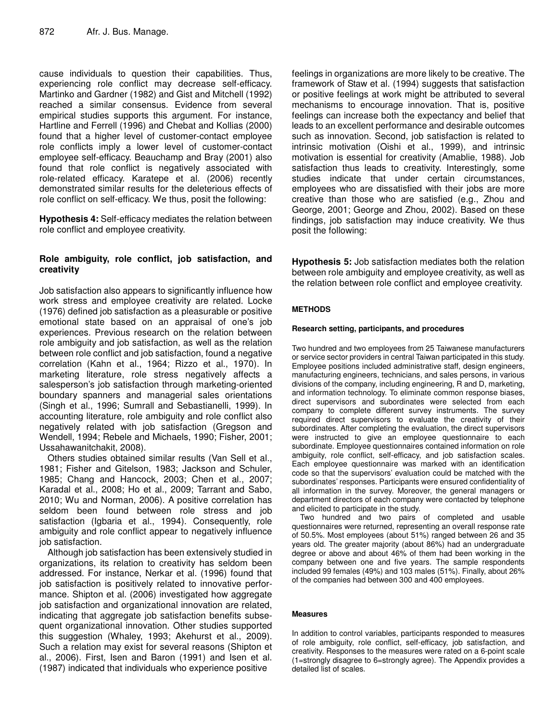cause individuals to question their capabilities. Thus, experiencing role conflict may decrease self-efficacy. Martinko and Gardner (1982) and Gist and Mitchell (1992) reached a similar consensus. Evidence from several empirical studies supports this argument. For instance, Hartline and Ferrell (1996) and Chebat and Kollias (2000) found that a higher level of customer-contact employee role conflicts imply a lower level of customer-contact employee self-efficacy. Beauchamp and Bray (2001) also found that role conflict is negatively associated with role-related efficacy. Karatepe et al. (2006) recently demonstrated similar results for the deleterious effects of role conflict on self-efficacy. We thus, posit the following:

**Hypothesis 4:** Self-efficacy mediates the relation between role conflict and employee creativity.

## **Role ambiguity, role conflict, job satisfaction, and creativity**

Job satisfaction also appears to significantly influence how work stress and employee creativity are related. Locke (1976) defined job satisfaction as a pleasurable or positive emotional state based on an appraisal of one's job experiences. Previous research on the relation between role ambiguity and job satisfaction, as well as the relation between role conflict and job satisfaction, found a negative correlation (Kahn et al., 1964; Rizzo et al., 1970). In marketing literature, role stress negatively affects a salesperson's job satisfaction through marketing-oriented boundary spanners and managerial sales orientations (Singh et al., 1996; Sumrall and Sebastianelli, 1999). In accounting literature, role ambiguity and role conflict also negatively related with job satisfaction (Gregson and Wendell, 1994; Rebele and Michaels, 1990; Fisher, 2001; Ussahawanitchakit, 2008).

Others studies obtained similar results (Van Sell et al., 1981; Fisher and Gitelson, 1983; Jackson and Schuler, 1985; Chang and Hancock, 2003; Chen et al., 2007; Karadal et al., 2008; Ho et al., 2009; Tarrant and Sabo, 2010; Wu and Norman, 2006). A positive correlation has seldom been found between role stress and job satisfaction (Igbaria et al., 1994). Consequently, role ambiguity and role conflict appear to negatively influence job satisfaction.

Although job satisfaction has been extensively studied in organizations, its relation to creativity has seldom been addressed. For instance, Nerkar et al. (1996) found that job satisfaction is positively related to innovative performance. Shipton et al. (2006) investigated how aggregate job satisfaction and organizational innovation are related, indicating that aggregate job satisfaction benefits subsequent organizational innovation. Other studies supported this suggestion (Whaley, 1993; Akehurst et al., 2009). Such a relation may exist for several reasons (Shipton et al., 2006). First, Isen and Baron (1991) and Isen et al. (1987) indicated that individuals who experience positive

feelings in organizations are more likely to be creative. The framework of Staw et al. (1994) suggests that satisfaction or positive feelings at work might be attributed to several mechanisms to encourage innovation. That is, positive feelings can increase both the expectancy and belief that leads to an excellent performance and desirable outcomes such as innovation. Second, job satisfaction is related to intrinsic motivation (Oishi et al., 1999), and intrinsic motivation is essential for creativity (Amablie, 1988). Job satisfaction thus leads to creativity. Interestingly, some studies indicate that under certain circumstances, employees who are dissatisfied with their jobs are more creative than those who are satisfied (e.g., Zhou and George, 2001; George and Zhou, 2002). Based on these findings, job satisfaction may induce creativity. We thus posit the following:

**Hypothesis 5:** Job satisfaction mediates both the relation between role ambiguity and employee creativity, as well as the relation between role conflict and employee creativity.

## **METHODS**

## **Research setting, participants, and procedures**

Two hundred and two employees from 25 Taiwanese manufacturers or service sector providers in central Taiwan participated in this study. Employee positions included administrative staff, design engineers, manufacturing engineers, technicians, and sales persons, in various divisions of the company, including engineering, R and D, marketing, and information technology. To eliminate common response biases, direct supervisors and subordinates were selected from each company to complete different survey instruments. The survey required direct supervisors to evaluate the creativity of their subordinates. After completing the evaluation, the direct supervisors were instructed to give an employee questionnaire to each subordinate. Employee questionnaires contained information on role ambiguity, role conflict, self-efficacy, and job satisfaction scales. Each employee questionnaire was marked with an identification code so that the supervisors' evaluation could be matched with the subordinates' responses. Participants were ensured confidentiality of all information in the survey. Moreover, the general managers or department directors of each company were contacted by telephone and elicited to participate in the study.

Two hundred and two pairs of completed and usable questionnaires were returned, representing an overall response rate of 50.5%. Most employees (about 51%) ranged between 26 and 35 years old. The greater majority (about 86%) had an undergraduate degree or above and about 46% of them had been working in the company between one and five years. The sample respondents included 99 females (49%) and 103 males (51%). Finally, about 26% of the companies had between 300 and 400 employees.

## **Measures**

In addition to control variables, participants responded to measures of role ambiguity, role conflict, self-efficacy, job satisfaction, and creativity. Responses to the measures were rated on a 6-point scale (1=strongly disagree to 6=strongly agree). The Appendix provides a detailed list of scales.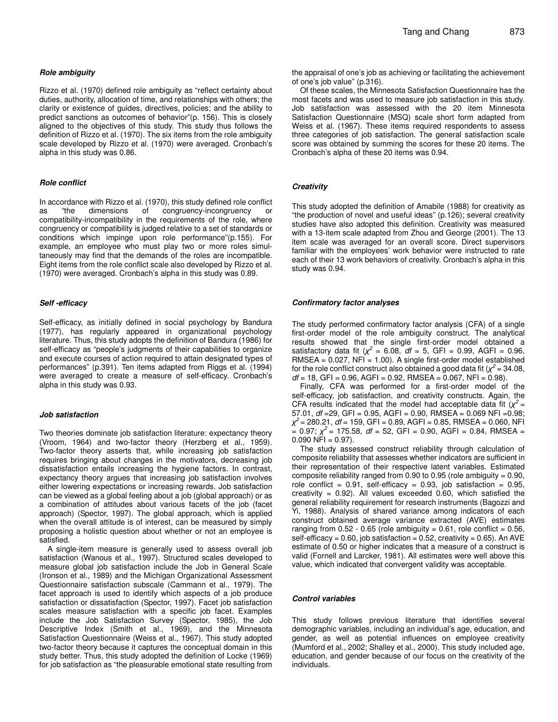Rizzo et al. (1970) defined role ambiguity as "reflect certainty about duties, authority, allocation of time, and relationships with others; the clarity or existence of guides, directives, policies; and the ability to predict sanctions as outcomes of behavior"(p. 156). This is closely aligned to the objectives of this study. This study thus follows the definition of Rizzo et al. (1970). The six items from the role ambiguity scale developed by Rizzo et al. (1970) were averaged. Cronbach's alpha in this study was 0.86.

#### *Role conflict*

In accordance with Rizzo et al. (1970), this study defined role conflict<br>as "the dimensions of congruency-incongruency or as "the dimensions of congruency-incongruency or compatibility-incompatibility in the requirements of the role, where congruency or compatibility is judged relative to a set of standards or conditions which impinge upon role performance"(p.155). For example, an employee who must play two or more roles simultaneously may find that the demands of the roles are incompatible. Eight items from the role conflict scale also developed by Rizzo et al. (1970) were averaged. Cronbach's alpha in this study was 0.89.

#### *Self -efficacy*

Self-efficacy, as initially defined in social psychology by Bandura (1977), has regularly appeared in organizational psychology literature. Thus, this study adopts the definition of Bandura (1986) for self-efficacy as "people's judgments of their capabilities to organize and execute courses of action required to attain designated types of performances" (p.391). Ten items adapted from Riggs et al. (1994) were averaged to create a measure of self-efficacy. Cronbach's alpha in this study was 0.93.

#### *Job satisfaction*

Two theories dominate job satisfaction literature: expectancy theory (Vroom, 1964) and two-factor theory (Herzberg et al., 1959). Two-factor theory asserts that, while increasing job satisfaction requires bringing about changes in the motivators, decreasing job dissatisfaction entails increasing the hygiene factors. In contrast, expectancy theory argues that increasing job satisfaction involves either lowering expectations or increasing rewards. Job satisfaction can be viewed as a global feeling about a job (global approach) or as a combination of attitudes about various facets of the job (facet approach) (Spector, 1997). The global approach, which is applied when the overall attitude is of interest, can be measured by simply proposing a holistic question about whether or not an employee is satisfied.

A single-item measure is generally used to assess overall job satisfaction (Wanous et al., 1997). Structured scales developed to measure global job satisfaction include the Job in General Scale (Ironson et al., 1989) and the Michigan Organizational Assessment Questionnaire satisfaction subscale (Cammann et al., 1979). The facet approach is used to identify which aspects of a job produce satisfaction or dissatisfaction (Spector, 1997). Facet job satisfaction scales measure satisfaction with a specific job facet. Examples include the Job Satisfaction Survey (Spector, 1985), the Job Descriptive Index (Smith et al., 1969), and the Minnesota Satisfaction Questionnaire (Weiss et al., 1967). This study adopted two-factor theory because it captures the conceptual domain in this study better. Thus, this study adopted the definition of Locke (1969) for job satisfaction as "the pleasurable emotional state resulting from the appraisal of one's job as achieving or facilitating the achievement of one's job value" (p.316).

Of these scales, the Minnesota Satisfaction Questionnaire has the most facets and was used to measure job satisfaction in this study. Job satisfaction was assessed with the 20 item Minnesota Satisfaction Questionnaire (MSQ) scale short form adapted from Weiss et al. (1967). These items required respondents to assess three categories of job satisfaction. The general satisfaction scale score was obtained by summing the scores for these 20 items. The Cronbach's alpha of these 20 items was 0.94.

#### *Creativity*

This study adopted the definition of Amabile (1988) for creativity as "the production of novel and useful ideas" (p.126); several creativity studies have also adopted this definition. Creativity was measured with a 13-item scale adapted from Zhou and George (2001). The 13 item scale was averaged for an overall score. Direct supervisors familiar with the employees' work behavior were instructed to rate each of their 13 work behaviors of creativity. Cronbach's alpha in this study was 0.94.

#### *Confirmatory factor analyses*

The study performed confirmatory factor analysis (CFA) of a single first-order model of the role ambiguity construct. The analytical results showed that the single first-order model obtained a satisfactory data fit  $(\chi^2 = 6.08, df = 5, GFI = 0.99, AGFI = 0.96,$ RMSEA = 0.027, NFI = 1.00). A single first-order model established for the role conflict construct also obtained a good data fit ( $\chi^2$  = 34.08, *df* = 18, GFI = 0.96, AGFI = 0.92, RMSEA = 0.067, NFI = 0.98).

Finally, CFA was performed for a first-order model of the self-efficacy, job satisfaction, and creativity constructs. Again, the CFA results indicated that the model had acceptable data fit  $(\chi^2 =$ 57.01, *df* =29, GFI = 0.95, AGFI = 0.90, RMSEA = 0.069 NFI =0.98; *2* = 280.21, *df* = 159, GFI = 0.89, AGFI = 0.85, RMSEA = 0.060, NFI  $= 0.97$ ;  $\chi^2 = 175.58$ , *df* = 52, GFI = 0.90, AGFI = 0.84, RMSEA =  $0.090$  NFI =  $0.97$ ).

The study assessed construct reliability through calculation of composite reliability that assesses whether indicators are sufficient in their representation of their respective latent variables. Estimated composite reliability ranged from 0.90 to 0.95 (role ambiguity = 0.90, role conflict =  $0.91$ , self-efficacy =  $0.93$ , job satisfaction =  $0.95$ , creativity =  $0.92$ ). All values exceeded 0.60, which satisfied the general reliability requirement for research instruments (Bagozzi and Yi, 1988). Analysis of shared variance among indicators of each construct obtained average variance extracted (AVE) estimates ranging from  $0.52 - 0.65$  (role ambiguity = 0.61, role conflict = 0.56, self-efficacy =  $0.60$ , job satisfaction =  $0.52$ , creativity =  $0.65$ ). An AVE estimate of 0.50 or higher indicates that a measure of a construct is valid (Fornell and Larcker, 1981). All estimates were well above this value, which indicated that convergent validity was acceptable.

#### *Control variables*

This study follows previous literature that identifies several demographic variables, including an individual's age, education, and gender, as well as potential influences on employee creativity (Mumford et al., 2002; Shalley et al., 2000). This study included age, education, and gender because of our focus on the creativity of the individuals.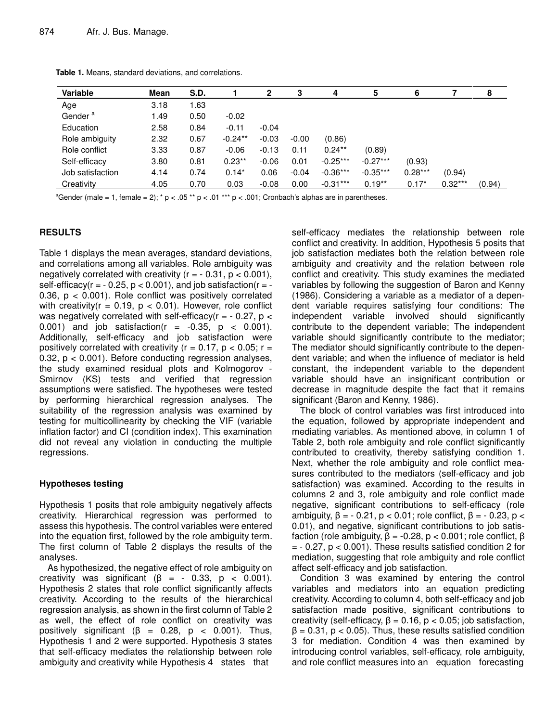| Variable            | Mean | S.D. |            | 2       | 3       | 4          | 5          | 6         |           | 8      |
|---------------------|------|------|------------|---------|---------|------------|------------|-----------|-----------|--------|
| Age                 | 3.18 | 1.63 |            |         |         |            |            |           |           |        |
| Gender <sup>a</sup> | 1.49 | 0.50 | $-0.02$    |         |         |            |            |           |           |        |
| Education           | 2.58 | 0.84 | $-0.11$    | $-0.04$ |         |            |            |           |           |        |
| Role ambiguity      | 2.32 | 0.67 | $-0.24***$ | $-0.03$ | $-0.00$ | (0.86)     |            |           |           |        |
| Role conflict       | 3.33 | 0.87 | $-0.06$    | $-0.13$ | 0.11    | $0.24**$   | (0.89)     |           |           |        |
| Self-efficacy       | 3.80 | 0.81 | $0.23***$  | $-0.06$ | 0.01    | $-0.25***$ | $-0.27***$ | (0.93)    |           |        |
| Job satisfaction    | 4.14 | 0.74 | $0.14*$    | 0.06    | $-0.04$ | $-0.36***$ | $-0.35***$ | $0.28***$ | (0.94)    |        |
| Creativity          | 4.05 | 0.70 | 0.03       | $-0.08$ | 0.00    | $-0.31***$ | $0.19**$   | $0.17*$   | $0.32***$ | (0.94) |

**Table 1.** Means, standard deviations, and correlations.

<sup>a</sup>Gender (male = 1, female = 2); \* p < .05 \*\* p < .01 \*\*\* p < .001; Cronbach's alphas are in parentheses.

## **RESULTS**

Table 1 displays the mean averages, standard deviations, and correlations among all variables. Role ambiguity was negatively correlated with creativity  $(r = -0.31, p < 0.001)$ , self-efficacy( $r = -0.25$ ,  $p < 0.001$ ), and job satisfaction( $r = -$ 0.36, p < 0.001). Role conflict was positively correlated with creativity( $r = 0.19$ ,  $p < 0.01$ ). However, role conflict was negatively correlated with self-efficacy( $r = -0.27$ ,  $p <$ 0.001) and job satisfaction( $r = -0.35$ ,  $p < 0.001$ ). Additionally, self-efficacy and job satisfaction were positively correlated with creativity ( $r = 0.17$ ,  $p < 0.05$ ;  $r =$ 0.32, p < 0.001). Before conducting regression analyses, the study examined residual plots and Kolmogorov - Smirnov (KS) tests and verified that regression assumptions were satisfied. The hypotheses were tested by performing hierarchical regression analyses. The suitability of the regression analysis was examined by testing for multicollinearity by checking the VIF (variable inflation factor) and CI (condition index). This examination did not reveal any violation in conducting the multiple regressions.

## **Hypotheses testing**

Hypothesis 1 posits that role ambiguity negatively affects creativity. Hierarchical regression was performed to assess this hypothesis. The control variables were entered into the equation first, followed by the role ambiguity term. The first column of Table 2 displays the results of the analyses.

As hypothesized, the negative effect of role ambiguity on creativity was significant ( $\beta$  = - 0.33,  $p$  < 0.001). Hypothesis 2 states that role conflict significantly affects creativity. According to the results of the hierarchical regression analysis, as shown in the first column of Table 2 as well, the effect of role conflict on creativity was positively significant ( $\beta$  = 0.28,  $p$  < 0.001). Thus, Hypothesis 1 and 2 were supported. Hypothesis 3 states that self-efficacy mediates the relationship between role ambiguity and creativity while Hypothesis 4 states that

self-efficacy mediates the relationship between role conflict and creativity. In addition, Hypothesis 5 posits that job satisfaction mediates both the relation between role ambiguity and creativity and the relation between role conflict and creativity. This study examines the mediated variables by following the suggestion of Baron and Kenny (1986). Considering a variable as a mediator of a dependent variable requires satisfying four conditions: The independent variable involved should significantly contribute to the dependent variable; The independent variable should significantly contribute to the mediator; The mediator should significantly contribute to the dependent variable; and when the influence of mediator is held constant, the independent variable to the dependent variable should have an insignificant contribution or decrease in magnitude despite the fact that it remains significant (Baron and Kenny, 1986).

The block of control variables was first introduced into the equation, followed by appropriate independent and mediating variables. As mentioned above, in column 1 of Table 2, both role ambiguity and role conflict significantly contributed to creativity, thereby satisfying condition 1. Next, whether the role ambiguity and role conflict measures contributed to the mediators (self-efficacy and job satisfaction) was examined. According to the results in columns 2 and 3, role ambiguity and role conflict made negative, significant contributions to self-efficacy (role ambiguity,  $\beta = -0.21$ ,  $p < 0.01$ ; role conflict,  $\beta = -0.23$ ,  $p <$ 0.01), and negative, significant contributions to job satisfaction (role ambiguity,  $\beta = -0.28$ ,  $p < 0.001$ ; role conflict,  $\beta$  $= -0.27$ ,  $p < 0.001$ ). These results satisfied condition 2 for mediation, suggesting that role ambiguity and role conflict affect self-efficacy and job satisfaction.

Condition 3 was examined by entering the control variables and mediators into an equation predicting creativity. According to column 4, both self-efficacy and job satisfaction made positive, significant contributions to creativity (self-efficacy,  $\beta = 0.16$ ,  $p < 0.05$ ; job satisfaction,  $\beta$  = 0.31, p < 0.05). Thus, these results satisfied condition 3 for mediation. Condition 4 was then examined by introducing control variables, self-efficacy, role ambiguity, and role conflict measures into an equation forecasting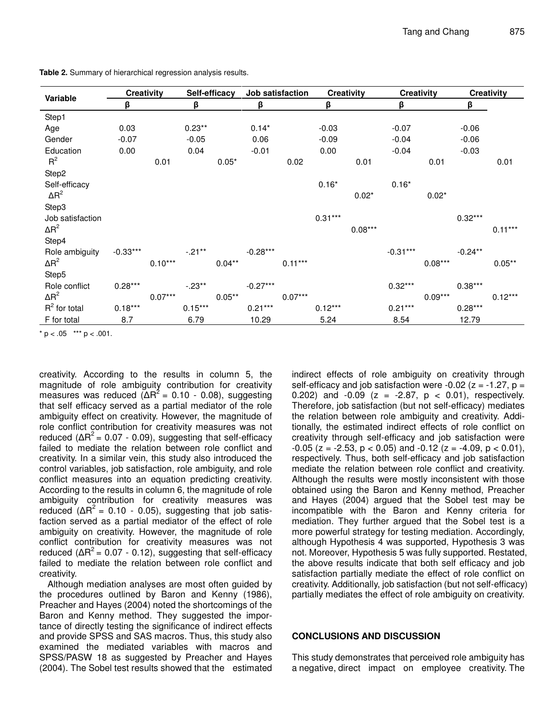| Variable         | <b>Creativity</b> |           | Self-efficacy |           | Job satisfaction |           | <b>Creativity</b> |           | <b>Creativity</b> |           | <b>Creativity</b> |           |
|------------------|-------------------|-----------|---------------|-----------|------------------|-----------|-------------------|-----------|-------------------|-----------|-------------------|-----------|
|                  | β                 |           | β             |           | β                |           | β                 |           | β                 |           | β                 |           |
| Step1            |                   |           |               |           |                  |           |                   |           |                   |           |                   |           |
| Age              | 0.03              |           | $0.23**$      |           | $0.14*$          |           | $-0.03$           |           | $-0.07$           |           | $-0.06$           |           |
| Gender           | $-0.07$           |           | $-0.05$       |           | 0.06             |           | $-0.09$           |           | $-0.04$           |           | $-0.06$           |           |
| Education        | 0.00              |           | 0.04          |           | $-0.01$          |           | 0.00              |           | $-0.04$           |           | $-0.03$           |           |
| $R^2$            |                   | 0.01      |               | $0.05*$   |                  | 0.02      |                   | 0.01      |                   | 0.01      |                   | 0.01      |
| Step2            |                   |           |               |           |                  |           |                   |           |                   |           |                   |           |
| Self-efficacy    |                   |           |               |           |                  |           | $0.16*$           |           | $0.16*$           |           |                   |           |
| $\Delta R^2$     |                   |           |               |           |                  |           |                   | $0.02*$   |                   | $0.02*$   |                   |           |
| Step3            |                   |           |               |           |                  |           |                   |           |                   |           |                   |           |
| Job satisfaction |                   |           |               |           |                  |           | $0.31***$         |           |                   |           | $0.32***$         |           |
| $\Delta R^2$     |                   |           |               |           |                  |           |                   | $0.08***$ |                   |           |                   | $0.11***$ |
| Step4            |                   |           |               |           |                  |           |                   |           |                   |           |                   |           |
| Role ambiguity   | $-0.33***$        |           | $-.21**$      |           | $-0.28***$       |           |                   |           | $-0.31***$        |           | $-0.24**$         |           |
| $\Delta R^2$     |                   | $0.10***$ |               | $0.04**$  |                  | $0.11***$ |                   |           |                   | $0.08***$ |                   | $0.05***$ |
| Step5            |                   |           |               |           |                  |           |                   |           |                   |           |                   |           |
| Role conflict    | $0.28***$         |           | $-.23**$      |           | $-0.27***$       |           |                   |           | $0.32***$         |           | $0.38***$         |           |
| $\Delta R^2$     |                   | $0.07***$ |               | $0.05***$ |                  | $0.07***$ |                   |           |                   | $0.09***$ |                   | $0.12***$ |
| $R^2$ for total  | $0.18***$         |           | $0.15***$     |           | $0.21***$        |           | $0.12***$         |           | $0.21***$         |           | $0.28***$         |           |
| F for total      | 8.7               |           | 6.79          |           | 10.29            |           | 5.24              |           | 8.54              |           | 12.79             |           |

**Table 2.** Summary of hierarchical regression analysis results.

 $* p < .05$  \*\*\*  $p < .001$ .

creativity. According to the results in column 5, the magnitude of role ambiguity contribution for creativity measures was reduced ( $\Delta R^2$  = 0.10 - 0.08), suggesting that self efficacy served as a partial mediator of the role ambiguity effect on creativity. However, the magnitude of role conflict contribution for creativity measures was not reduced ( $\Delta R^2$  = 0.07 - 0.09), suggesting that self-efficacy failed to mediate the relation between role conflict and creativity. In a similar vein, this study also introduced the control variables, job satisfaction, role ambiguity, and role conflict measures into an equation predicting creativity. According to the results in column 6, the magnitude of role ambiguity contribution for creativity measures was reduced  $( \Delta R^2 = 0.10 - 0.05)$ , suggesting that job satisfaction served as a partial mediator of the effect of role ambiguity on creativity. However, the magnitude of role conflict contribution for creativity measures was not reduced ( $\Delta R^2$  = 0.07 - 0.12), suggesting that self-efficacy failed to mediate the relation between role conflict and creativity.

Although mediation analyses are most often guided by the procedures outlined by Baron and Kenny (1986), Preacher and Hayes (2004) noted the shortcomings of the Baron and Kenny method. They suggested the importance of directly testing the significance of indirect effects and provide SPSS and SAS macros. Thus, this study also examined the mediated variables with macros and SPSS/PASW 18 as suggested by Preacher and Hayes (2004). The Sobel test results showed that the estimated

indirect effects of role ambiguity on creativity through self-efficacy and job satisfaction were  $-0.02$  ( $z = -1.27$ ,  $p =$ 0.202) and -0.09 (z = -2.87,  $p < 0.01$ ), respectively. Therefore, job satisfaction (but not self-efficacy) mediates the relation between role ambiguity and creativity. Additionally, the estimated indirect effects of role conflict on creativity through self-efficacy and job satisfaction were  $-0.05$  (z =  $-2.53$ , p < 0.05) and  $-0.12$  (z =  $-4.09$ , p < 0.01), respectively. Thus, both self-efficacy and job satisfaction mediate the relation between role conflict and creativity. Although the results were mostly inconsistent with those obtained using the Baron and Kenny method, Preacher and Hayes (2004) argued that the Sobel test may be incompatible with the Baron and Kenny criteria for mediation. They further argued that the Sobel test is a more powerful strategy for testing mediation. Accordingly, although Hypothesis 4 was supported, Hypothesis 3 was not. Moreover, Hypothesis 5 was fully supported. Restated, the above results indicate that both self efficacy and job satisfaction partially mediate the effect of role conflict on creativity. Additionally, job satisfaction (but not self-efficacy) partially mediates the effect of role ambiguity on creativity.

## **CONCLUSIONS AND DISCUSSION**

This study demonstrates that perceived role ambiguity has a negative, direct impact on employee creativity. The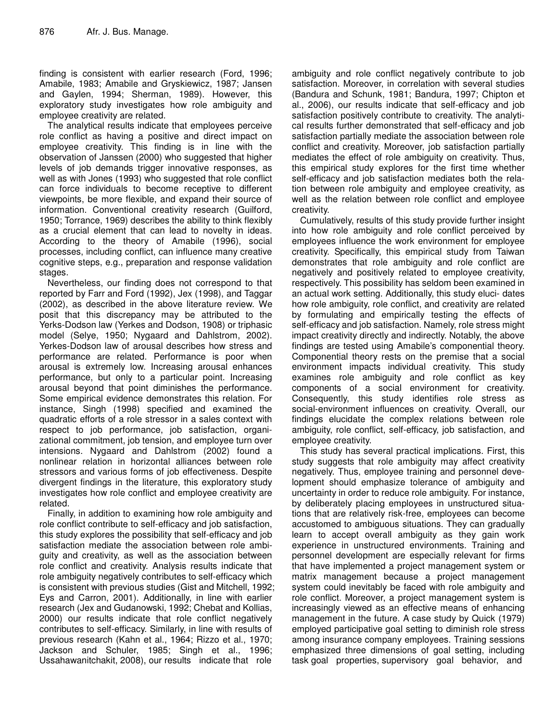finding is consistent with earlier research (Ford, 1996; Amabile, 1983; Amabile and Gryskiewicz, 1987; Jansen and Gaylen, 1994; Sherman, 1989). However, this exploratory study investigates how role ambiguity and employee creativity are related.

The analytical results indicate that employees perceive role conflict as having a positive and direct impact on employee creativity. This finding is in line with the observation of Janssen (2000) who suggested that higher levels of job demands trigger innovative responses, as well as with Jones (1993) who suggested that role conflict can force individuals to become receptive to different viewpoints, be more flexible, and expand their source of information. Conventional creativity research (Guilford, 1950; Torrance, 1969) describes the ability to think flexibly as a crucial element that can lead to novelty in ideas. According to the theory of Amabile (1996), social processes, including conflict, can influence many creative cognitive steps, e.g., preparation and response validation stages.

Nevertheless, our finding does not correspond to that reported by Farr and Ford (1992), Jex (1998), and Taggar (2002), as described in the above literature review. We posit that this discrepancy may be attributed to the Yerks-Dodson law (Yerkes and Dodson, 1908) or triphasic model (Selye, 1950; Nygaard and Dahlstrom, 2002). Yerkes-Dodson law of arousal describes how stress and performance are related. Performance is poor when arousal is extremely low. Increasing arousal enhances performance, but only to a particular point. Increasing arousal beyond that point diminishes the performance. Some empirical evidence demonstrates this relation. For instance, Singh (1998) specified and examined the quadratic efforts of a role stressor in a sales context with respect to job performance, job satisfaction, organizational commitment, job tension, and employee turn over intensions. Nygaard and Dahlstrom (2002) found a nonlinear relation in horizontal alliances between role stressors and various forms of job effectiveness. Despite divergent findings in the literature, this exploratory study investigates how role conflict and employee creativity are related.

Finally, in addition to examining how role ambiguity and role conflict contribute to self-efficacy and job satisfaction, this study explores the possibility that self-efficacy and job satisfaction mediate the association between role ambiguity and creativity, as well as the association between role conflict and creativity. Analysis results indicate that role ambiguity negatively contributes to self-efficacy which is consistent with previous studies (Gist and Mitchell, 1992; Eys and Carron, 2001). Additionally, in line with earlier research (Jex and Gudanowski, 1992; Chebat and Kollias, 2000) our results indicate that role conflict negatively contributes to self-efficacy. Similarly, in line with results of previous research (Kahn et al., 1964; Rizzo et al., 1970; Jackson and Schuler, 1985; Singh et al., 1996; Ussahawanitchakit, 2008), our results indicate that role

ambiguity and role conflict negatively contribute to job satisfaction. Moreover, in correlation with several studies (Bandura and Schunk, 1981; Bandura, 1997; Chipton et al., 2006), our results indicate that self-efficacy and job satisfaction positively contribute to creativity. The analytical results further demonstrated that self-efficacy and job satisfaction partially mediate the association between role conflict and creativity. Moreover, job satisfaction partially mediates the effect of role ambiguity on creativity. Thus, this empirical study explores for the first time whether self-efficacy and job satisfaction mediates both the relation between role ambiguity and employee creativity, as well as the relation between role conflict and employee creativity.

Cumulatively, results of this study provide further insight into how role ambiguity and role conflict perceived by employees influence the work environment for employee creativity. Specifically, this empirical study from Taiwan demonstrates that role ambiguity and role conflict are negatively and positively related to employee creativity, respectively. This possibility has seldom been examined in an actual work setting. Additionally, this study eluci- dates how role ambiguity, role conflict, and creativity are related by formulating and empirically testing the effects of self-efficacy and job satisfaction. Namely, role stress might impact creativity directly and indirectly. Notably, the above findings are tested using Amabile's componential theory. Componential theory rests on the premise that a social environment impacts individual creativity. This study examines role ambiguity and role conflict as key components of a social environment for creativity. Consequently, this study identifies role stress as social-environment influences on creativity. Overall, our findings elucidate the complex relations between role ambiguity, role conflict, self-efficacy, job satisfaction, and employee creativity.

This study has several practical implications. First, this study suggests that role ambiguity may affect creativity negatively. Thus, employee training and personnel development should emphasize tolerance of ambiguity and uncertainty in order to reduce role ambiguity. For instance, by deliberately placing employees in unstructured situations that are relatively risk-free, employees can become accustomed to ambiguous situations. They can gradually learn to accept overall ambiguity as they gain work experience in unstructured environments. Training and personnel development are especially relevant for firms that have implemented a project management system or matrix management because a project management system could inevitably be faced with role ambiguity and role conflict. Moreover, a project management system is increasingly viewed as an effective means of enhancing management in the future. A case study by Quick (1979) employed participative goal setting to diminish role stress among insurance company employees. Training sessions emphasized three dimensions of goal setting, including task goal properties, supervisory goal behavior, and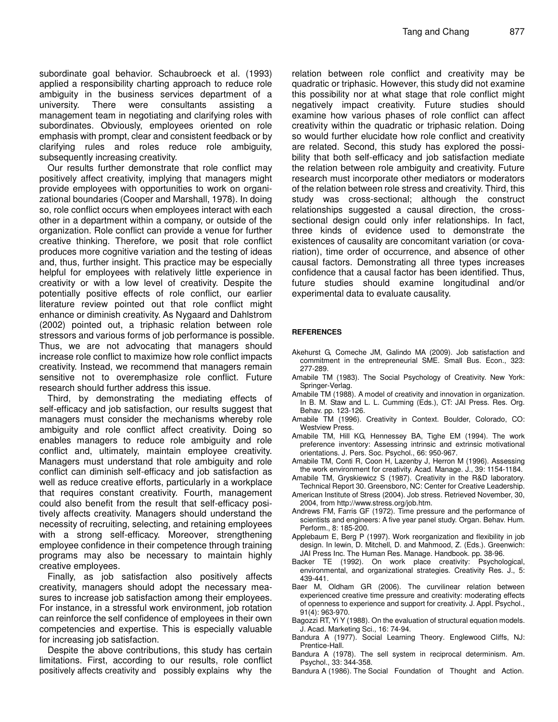subordinate goal behavior. Schaubroeck et al. (1993) applied a responsibility charting approach to reduce role ambiguity in the business services department of a university. There were consultants assisting a management team in negotiating and clarifying roles with subordinates. Obviously, employees oriented on role emphasis with prompt, clear and consistent feedback or by clarifying rules and roles reduce role ambiguity, subsequently increasing creativity.

Our results further demonstrate that role conflict may positively affect creativity, implying that managers might provide employees with opportunities to work on organizational boundaries (Cooper and Marshall, 1978). In doing so, role conflict occurs when employees interact with each other in a department within a company, or outside of the organization. Role conflict can provide a venue for further creative thinking. Therefore, we posit that role conflict produces more cognitive variation and the testing of ideas and, thus, further insight. This practice may be especially helpful for employees with relatively little experience in creativity or with a low level of creativity. Despite the potentially positive effects of role conflict, our earlier literature review pointed out that role conflict might enhance or diminish creativity. As Nygaard and Dahlstrom (2002) pointed out, a triphasic relation between role stressors and various forms of job performance is possible. Thus, we are not advocating that managers should increase role conflict to maximize how role conflict impacts creativity. Instead, we recommend that managers remain sensitive not to overemphasize role conflict. Future research should further address this issue.

Third, by demonstrating the mediating effects of self-efficacy and job satisfaction, our results suggest that managers must consider the mechanisms whereby role ambiguity and role conflict affect creativity. Doing so enables managers to reduce role ambiguity and role conflict and, ultimately, maintain employee creativity. Managers must understand that role ambiguity and role conflict can diminish self-efficacy and job satisfaction as well as reduce creative efforts, particularly in a workplace that requires constant creativity. Fourth, management could also benefit from the result that self-efficacy positively affects creativity. Managers should understand the necessity of recruiting, selecting, and retaining employees with a strong self-efficacy. Moreover, strengthening employee confidence in their competence through training programs may also be necessary to maintain highly creative employees.

Finally, as job satisfaction also positively affects creativity, managers should adopt the necessary measures to increase job satisfaction among their employees. For instance, in a stressful work environment, job rotation can reinforce the self confidence of employees in their own competencies and expertise. This is especially valuable for increasing job satisfaction.

Despite the above contributions, this study has certain limitations. First, according to our results, role conflict positively affects creativity and possibly explains why the

relation between role conflict and creativity may be quadratic or triphasic. However, this study did not examine this possibility nor at what stage that role conflict might negatively impact creativity. Future studies should examine how various phases of role conflict can affect creativity within the quadratic or triphasic relation. Doing so would further elucidate how role conflict and creativity are related. Second, this study has explored the possibility that both self-efficacy and job satisfaction mediate the relation between role ambiguity and creativity. Future research must incorporate other mediators or moderators of the relation between role stress and creativity. Third, this study was cross-sectional; although the construct relationships suggested a causal direction, the crosssectional design could only infer relationships. In fact, three kinds of evidence used to demonstrate the existences of causality are concomitant variation (or covariation), time order of occurrence, and absence of other causal factors. Demonstrating all three types increases confidence that a causal factor has been identified. Thus, future studies should examine longitudinal and/or experimental data to evaluate causality.

## **REFERENCES**

- Akehurst G, Comeche JM, Galindo MA (2009). Job satisfaction and commitment in the entrepreneurial SME. Small Bus. Econ., 323: 277-289.
- Amabile TM (1983). The Social Psychology of Creativity. New York: Springer-Verlag.
- Amabile TM (1988). A model of creativity and innovation in organization. In B. M. Staw and L. L. Cumming (Eds.), CT: JAI Press. Res. Org. Behav. pp. 123-126.
- Amabile TM (1996). Creativity in Context. Boulder, Colorado, CO: Westview Press.
- Amabile TM, Hill KG, Hennessey BA, Tighe EM (1994). The work preference inventory: Assessing intrinsic and extrinsic motivational orientations. J. Pers. Soc. Psychol., 66: 950-967.
- Amabile TM, Conti R, Coon H, Lazenby J, Herron M (1996). Assessing the work environment for creativity. Acad. Manage. J., 39: 1154-1184.
- Amabile TM, Gryskiewicz S (1987). Creativity in the R&D laboratory. Technical Report 30. Greensboro, NC: Center for Creative Leadership.
- American Institute of Stress (2004). Job stress. Retrieved November, 30, 2004, from http://www.stress.org/job.htm.
- Andrews FM, Farris GF (1972). Time pressure and the performance of scientists and engineers: A five year panel study. Organ. Behav. Hum. Perform., 8: 185-200.
- Applebaum E, Berg P (1997). Work reorganization and flexibility in job design. In lewin, D. Mitchell, D. and Mahmood, Z. (Eds.). Greenwich: JAI Press Inc. The Human Res. Manage. Handbook. pp. 38-96.
- Backer TE (1992). On work place creativity: Psychological, environmental, and organizational strategies. Creativity Res. J., 5: 439-441.
- Baer M, Oldham GR (2006). The curvilinear relation between experienced creative time pressure and creativity: moderating effects of openness to experience and support for creativity. J. Appl. Psychol., 91(4): 963-970.
- Bagozzi RT, Yi Y (1988). On the evaluation of structural equation models. J. Acad. Marketing Sci*.,* 16: 74-94.
- Bandura A (1977). Social Learning Theory*.* Englewood Cliffs, NJ: Prentice-Hall.
- Bandura A (1978). The sell system in reciprocal determinism. Am. Psychol., 33: 344-358.
- Bandura A (1986). The Social Foundation of Thought and Action*.*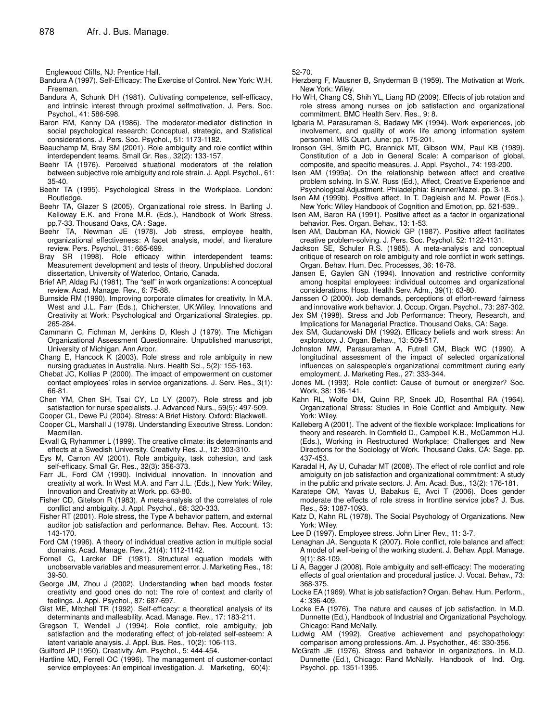Englewood Cliffs, NJ: Prentice Hall.

- Bandura A (1997). Self-Efficacy: The Exercise of Control*.* New York: W.H. Freeman.
- Bandura A, Schunk DH (1981). Cultivating competence, self-efficacy, and intrinsic interest through proximal selfmotivation. J. Pers. Soc. Psychol., 41: 586-598.
- Baron RM, Kenny DA (1986). The moderator-mediator distinction in social psychological research: Conceptual, strategic, and Statistical considerations. J. Pers. Soc. Psychol., 51: 1173-1182.
- Beauchamp M, Bray SM (2001). Role ambiguity and role conflict within interdependent teams. Small Gr. Res*.,* 32(2): 133-157.
- Beehr TA (1976). Perceived situational moderators of the relation between subjective role ambiguity and role strain. J. Appl. Psychol., 61: 35-40.
- Beehr TA (1995). Psychological Stress in the Workplace. London: Routledge.
- Beehr TA, Glazer S (2005). Organizational role stress. In Barling J. Kelloway E.K. and Frone M.R. (Eds.), Handbook of Work Stress. pp.7-33. Thousand Oaks, CA : Sage.
- Beehr TA, Newman JE (1978). Job stress, employee health, organizational effectiveness: A facet analysis, model, and literature review. Pers. Psychol., 31: 665-699.
- Bray SR (1998). Role efficacy within interdependent teams: Measurement development and tests of theory. Unpublished doctoral dissertation, University of Waterloo, Ontario, Canada.
- Brief AP, Aldag RJ (1981). The "self" in work organizations: A conceptual review. Acad. Manage. Rev., 6: 75-88.
- Burnside RM (1990). Improving corporate climates for creativity. In M.A. West and J.L. Farr (Eds.), Chicherster, UK:Wiley. Innovations and Creativity at Work: Psychological and Organizational Strategies. pp. 265-284.
- Cammann C, Fichman M, Jenkins D, Klesh J (1979). The Michigan Organizational Assessment Questionnaire. Unpublished manuscript, University of Michigan, Ann Arbor.
- Chang E, Hancock K (2003). Role stress and role ambiguity in new nursing graduates in Australia. Nurs. Health Sci*.,* 5(2): 155-163.
- Chebat JC, Kollias P (2000). The impact of empowerment on customer contact employees' roles in service organizations. J. Serv. Res., 3(1): 66-81.
- Chen YM, Chen SH, Tsai CY, Lo LY (2007). Role stress and job satisfaction for nurse specialists. J. Advanced Nurs., 59(5): 497-509.
- Cooper CL, Dewe PJ (2004). Stress: A Brief History. Oxford: Blackwell.
- Cooper CL, Marshall J (1978). Understanding Executive Stress. London: Macmillan.
- Ekvall G, Ryhammer L (1999). The creative climate: its determinants and effects at a Swedish University. Creativity Res. J., 12: 303-310.
- Eys M, Carron AV (2001). Role ambiguity, task cohesion, and task self-efficacy. Small Gr. Res., 32(3): 356-373.
- Farr JL, Ford CM (1990). Individual innovation. In innovation and creativity at work. In West M.A. and Farr J.L. (Eds.), New York: Wiley, Innovation and Creativity at Work*.* pp. 63-80.
- Fisher CD, Gitelson R (1983). A meta-analysis of the correlates of role conflict and ambiguity. J. Appl. Psychol., 68: 320-333.
- Fisher RT (2001). Role stress, the Type A behavior pattern, and external auditor job satisfaction and performance. Behav. Res. Account*.* 13: 143-170.
- Ford CM (1996). A theory of individual creative action in multiple social domains. Acad. Manage. Rev., 21(4): 1112-1142.
- Fornell C, Larcker DF (1981). Structural equation models with unobservable variables and measurement error. J. Marketing Res., 18: 39-50.
- George JM, Zhou J (2002). Understanding when bad moods foster creativity and good ones do not: The role of context and clarity of feelings. J. Appl. Psychol., 87: 687-697.
- Gist ME, Mitchell TR (1992). Self-efficacy: a theoretical analysis of its determinants and malleability. Acad. Manage. Rev., 17: 183-211.
- Gregson T, Wendell J (1994). Role conflict, role ambiguity, job satisfaction and the moderating effect of job-related self-esteem: A latent variable analysis. J. Appl. Bus. Res., 10(2): 106-113.

Guilford JP (1950). Creativity. Am. Psychol., 5: 444-454.

Hartline MD, Ferrell OC (1996). The management of customer-contact service employees: An empirical investigation. J. Marketing, 60(4):

52-70.

- Herzberg F, Mausner B, Snyderman B (1959). The Motivation at Work*.* New York: Wiley.
- Ho WH, Chang CS, Shih YL, Liang RD (2009). Effects of job rotation and role stress among nurses on job satisfaction and organizational commitment. BMC Health Serv. Res., 9: 8.
- Igbaria M, Parasuraman S, Badawy MK (1994). Work experiences, job involvement, and quality of work life among information system personnel. MIS Quart. June: pp. 175-201.
- Ironson GH, Smith PC, Brannick MT, Gibson WM, Paul KB (1989). Constitution of a Job in General Scale: A comparison of global, composite, and specific measures. J. Appl. Psychol*.,* 74: 193-200.
- Isen AM (1999a). On the relationship between affect and creative problem solving. In S.W. Russ (Ed.), Affect, Creative Experience and Psychological Adjustment*.* Philadelphia: Brunner/Mazel. pp. 3-18.
- Isen AM (1999b). Positive affect. In T. Dagleish and M. Power (Eds.), New York: Wiley Handbook of Cognition and Emotion, pp. 521-539..
- Isen AM, Baron RA (1991). Positive affect as a factor in organizational behavior. Res. Organ. Behav., 13: 1-53.
- Isen AM, Daubman KA, Nowicki GP (1987). Positive affect facilitates creative problem-solving. J. Pers. Soc. Psychol. 52: 1122-1131.
- Jackson SE, Schuler R.S. (1985). A meta-analysis and conceptual critique of research on role ambiguity and role conflict in work settings. Organ. Behav. Hum. Dec. Processes, 36: 16-78.
- Jansen E, Gaylen GN (1994). Innovation and restrictive conformity among hospital employees: individual outcomes and organizational considerations. Hosp. Health Serv. Adm., 39(1): 63-80.
- Janssen O (2000). Job demands, perceptions of effort-reward fairness and innovative work behavior. J. Occup. Organ. Psychol., 73: 287-302.
- Jex SM (1998). Stress and Job Performance: Theory, Research, and Implications for Managerial Practice. Thousand Oaks, CA: Sage.
- Jex SM, Gudanowski DM (1992). Efficacy beliefs and work stress: An exploratory. J. Organ. Behav., 13: 509-517.
- Johnston MW, Parasuraman A, Futrell CM, Black WC (1990). A longitudinal assessment of the impact of selected organizational influences on salespeople's organizational commitment during early employment. J. Marketing Res., 27: 333-344.
- Jones ML (1993). Role conflict: Cause of burnout or energizer? Soc. Work, 38: 136-141.
- Kahn RL, Wolfe DM, Quinn RP, Snoek JD, Rosenthal RA (1964). Organizational Stress: Studies in Role Conflict and Ambiguity. New York: Wiley.
- Kalleberg A (2001). The advent of the flexible workplace: Implications for theory and research. In Cornfield D., Campbell K.B., McCammon H.J. (Eds.), Working in Restructured Workplace: Challenges and New Directions for the Sociology of Work. Thousand Oaks, CA: Sage. pp. 437-453.
- Karadal H, Ay U, Cuhadar MT (2008). The effect of role conflict and role ambiguity on job satisfaction and organizational commitment: A study in the public and private sectors. J. Am. Acad. Bus., 13(2): 176-181.
- Karatepe OM, Yavas U, Babakus E, Avci T (2006). Does gender moderate the effects of role stress in frontline service jobs? J. Bus. Res., 59: 1087-1093.
- Katz D, Kahn RL (1978). The Social Psychology of Organizations. New York: Wiley.
- Lee D (1997). Employee stress. John Liner Rev., 11: 3-7.
- Lenaghan JA, Sengupta K (2007). Role conflict, role balance and affect: A model of well-being of the working student. J. Behav. Appl. Manage*.* 9(1): 88-109.
- Li A, Bagger J (2008). Role ambiguity and self-efficacy: The moderating effects of goal orientation and procedural justice. J. Vocat. Behav., 73: 368-375.
- Locke EA (1969). What is job satisfaction? Organ. Behav. Hum. Perform., 4: 336-409.
- Locke EA (1976). The nature and causes of job satisfaction. In M.D. Dunnette (Ed.), Handbook of Industrial and Organizational Psychology. Chicago: Rand McNally.
- Ludwig AM (1992). Creative achievement and psychopathology: comparison among professions. Am. J. Psychother., 46: 330-356.
- McGrath JE (1976). Stress and behavior in organizations. In M.D. Dunnette (Ed.), Chicago: Rand McNally. Handbook of Ind. Org. Psychol. pp. 1351-1395.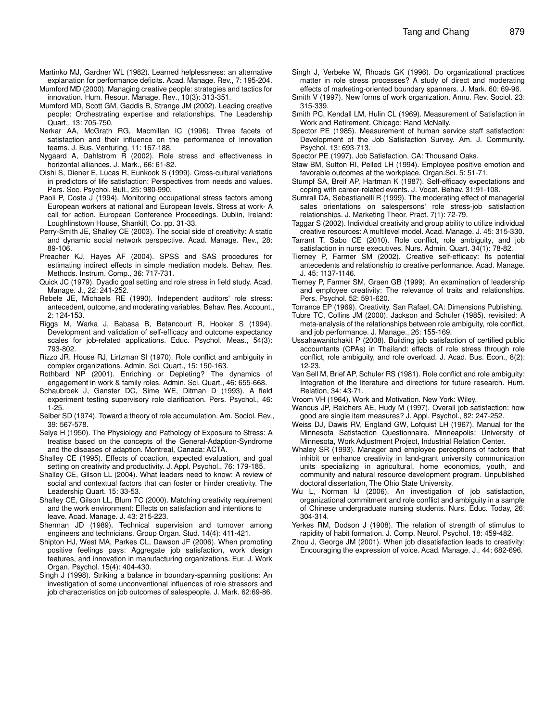- Mumford MD (2000). Managing creative people: strategies and tactics for innovation. Hum. Resour. Manage. Rev., 10(3): 313-351.
- Mumford MD, Scott GM, Gaddis B, Strange JM (2002). Leading creative people: Orchestrating expertise and relationships. The Leadership Quart*.,* 13: 705-750.
- Nerkar AA, McGrath RG, Macmillan IC (1996). Three facets of satisfaction and their influence on the performance of innovation teams. J. Bus. Venturing. 11: 167-188.
- Nygaard A, Dahlstrom R (2002). Role stress and effectiveness in horizontal alliances. J. Mark*.,* 66: 61-82.
- Oishi S, Diener E, Lucas R, Eunkook S (1999). Cross-cultural variations in predictors of life satisfaction: Perspectives from needs and values. Pers. Soc. Psychol. Bull., 25: 980-990.
- Paoli P, Costa J (1994). Monitoring occupational stress factors among European workers at national and European levels. Stress at work- A call for action. European Conference Proceedings. Dublin, Ireland: Loughlinstown House, Shankill, Co. pp. 31-33.
- Perry-Smith JE, Shalley CE (2003). The social side of creativity: A static and dynamic social network perspective. Acad. Manage. Rev., 28: 89-106.
- Preacher KJ, Hayes AF (2004). SPSS and SAS procedures for estimating indirect effects in simple mediation models. Behav. Res. Methods. Instrum. Comp*.,* 36: 717-731.
- Quick JC (1979). Dyadic goal setting and role stress in field study. Acad. Manage. J*.,* 22: 241-252.
- Rebele JE, Michaels RE (1990). Independent auditors' role stress: antecedent, outcome, and moderating variables. Behav. Res. Account., 2: 124-153.
- Riggs M, Warka J, Babasa B, Betancourt R, Hooker S (1994). Development and validation of self-efficacy and outcome expectancy scales for job-related applications. Educ. Psychol. Meas., 54(3): 793-802.
- Rizzo JR, House RJ, Lirtzman SI (1970). Role conflict and ambiguity in complex organizations. Admin. Sci. Quart., 15: 150-163.
- Rothbard NP (2001). Enriching or Depleting? The dynamics of engagement in work & family roles. Admin. Sci. Quart., 46: 655-668.
- Schaubroek J, Ganster DC, Sime WE, Ditman D (1993). A field experiment testing supervisory role clarification. Pers. Psychol., 46: 1-25.
- Seiber SD (1974). Toward a theory of role accumulation. Am. Sociol. Rev., 39: 567-578.
- Selye H (1950). The Physiology and Pathology of Exposure to Stress: A treatise based on the concepts of the General-Adaption-Syndrome and the diseases of adaption. Montreal, Canada: ACTA.
- Shalley CE (1995). Effects of coaction, expected evaluation, and goal setting on creativity and productivity. J. Appl. Psychol., 76: 179-185.
- Shalley CE, Gilson LL (2004). What leaders need to know: A review of social and contextual factors that can foster or hinder creativity. The Leadership Quart. 15: 33-53.
- Shalley CE, Gilson LL, Blum TC (2000). Matching creativity requirement and the work environment: Effects on satisfaction and intentions to leave. Acad. Manage. J. 43: 215-223.
- Sherman JD (1989). Technical supervision and turnover among engineers and technicians. Group Organ. Stud*.* 14(4): 411-421.
- Shipton HJ, West MA, Parkes CL, Dawson JF (2006). When promoting positive feelings pays: Aggregate job satisfaction, work design features, and innovation in manufacturing organizations. Eur. J. Work Organ. Psychol. 15(4): 404-430.
- Singh J (1998). Striking a balance in boundary-spanning positions: An investigation of some unconventional influences of role stressors and job characteristics on job outcomes of salespeople. J. Mark*.* 62:69-86.
- Singh J, Verbeke W, Rhoads GK (1996). Do organizational practices matter in role stress processes? A study of direct and moderating effects of marketing-oriented boundary spanners. J. Mark. 60: 69-96.
- Smith V (1997). New forms of work organization. Annu. Rev. Sociol. 23: 315-339.
- Smith PC, Kendall LM, Hulin CL (1969). Measurement of Satisfaction in Work and Retirement. Chicago: Rand McNally.
- Spector PE (1985). Measurement of human service staff satisfaction: Development of the Job Satisfaction Survey. Am. J. Community. Psychol. 13: 693-713.
- Spector PE (1997). Job Satisfaction. CA: Thousand Oaks.
- Staw BM, Sutton RI, Pelled LH (1994). Employee positive emotion and favorable outcomes at the workplace. Organ.Sci. 5: 51-71.
- Stumpf SA, Breif AP, Hartman K (1987). Self-efficacy expectations and coping with career-related events. J. Vocat. Behav. 31:91-108.
- Sumrall DA, Sebastianelli R (1999). The moderating effect of managerial sales orientations on salespersons' role stress-job satisfaction relationships. J. Marketing Theor. Pract. 7(1): 72-79.
- Taggar S (2002). Individual creativity and group ability to utilize individual creative resources: A multilevel model. Acad. Manage. J. 45: 315-330.
- Tarrant T, Sabo CE (2010). Role conflict, role ambiguity, and job satisfaction in nurse executives. Nurs. Admin. Quart. 34(1): 78-82.
- Tierney P, Farmer SM (2002). Creative self-efficacy: Its potential antecedents and relationship to creative performance. Acad. Manage. J. 45: 1137-1146.
- Tierney P, Farmer SM, Graen GB (1999). An examination of leadership and employee creativity: The relevance of traits and relationships. Pers. Psychol. 52: 591-620.
- Torrance EP (1969). Creativity. San Rafael, CA: Dimensions Publishing.
- Tubre TC, Collins JM (2000). Jackson and Schuler (1985). revisited: A meta-analysis of the relationships between role ambiguity, role conflict, and job performance. J. Manage., 26: 155-169.
- Ussahawanitchakit P (2008). Building job satisfaction of certified public accountants (CPAs) in Thailand: effects of role stress through role conflict, role ambiguity, and role overload. J. Acad. Bus. Econ., 8(2): 12-23.
- Van Sell M, Brief AP, Schuler RS (1981). Role conflict and role ambiguity: Integration of the literature and directions for future research. Hum. Relation, 34: 43-71.
- Vroom VH (1964). Work and Motivation*.* New York: Wiley.
- Wanous JP, Reichers AE, Hudy M (1997). Overall job satisfaction: how good are single item measures? J. Appl. Psychol*.*, 82: 247-252.
- Weiss DJ, Dawis RV, England GW, Lofquist LH (1967). Manual for the Minnesota Satisfaction Questionnaire. Minneapolis: University of Minnesota, Work Adjustment Project, Industrial Relation Center.
- Whaley SR (1993). Manager and employee perceptions of factors that inhibit or enhance creativity in land-grant university communication units specializing in agricultural, home economics, youth, and community and natural resource development program. Unpublished doctoral dissertation, The Ohio State University.
- Wu L, Norman IJ (2006). An investigation of job satisfaction, organizational commitment and role conflict and ambiguity in a sample of Chinese undergraduate nursing students. Nurs. Educ. Today, 26: 304-314.
- Yerkes RM, Dodson J (1908). The relation of strength of stimulus to rapidity of habit formation. J. Comp. Neurol. Psychol. 18: 459-482.
- Zhou J, George JM (2001). When job dissatisfaction leads to creativity: Encouraging the expression of voice. Acad. Manage. J., 44: 682-696.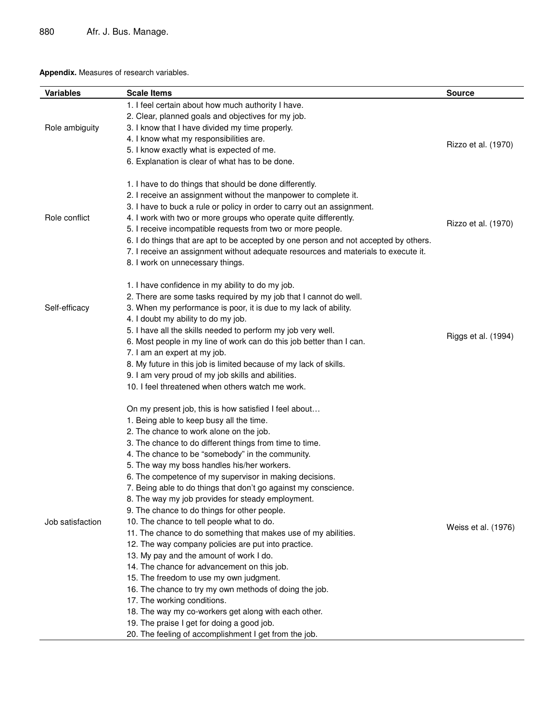## **Appendix.** Measures of research variables.

| <b>Variables</b> | <b>Scale Items</b>                                                                    | <b>Source</b>       |
|------------------|---------------------------------------------------------------------------------------|---------------------|
|                  | 1. I feel certain about how much authority I have.                                    |                     |
| Role ambiguity   | 2. Clear, planned goals and objectives for my job.                                    |                     |
|                  | 3. I know that I have divided my time properly.                                       |                     |
|                  | 4. I know what my responsibilities are.                                               |                     |
|                  | 5. I know exactly what is expected of me.                                             | Rizzo et al. (1970) |
|                  | 6. Explanation is clear of what has to be done.                                       |                     |
|                  |                                                                                       |                     |
|                  | 1. I have to do things that should be done differently.                               |                     |
|                  | 2. I receive an assignment without the manpower to complete it.                       |                     |
|                  | 3. I have to buck a rule or policy in order to carry out an assignment.               |                     |
| Role conflict    | 4. I work with two or more groups who operate quite differently.                      | Rizzo et al. (1970) |
|                  | 5. I receive incompatible requests from two or more people.                           |                     |
|                  | 6. I do things that are apt to be accepted by one person and not accepted by others.  |                     |
|                  | 7. I receive an assignment without adequate resources and materials to execute it.    |                     |
|                  | 8. I work on unnecessary things.                                                      |                     |
|                  | 1. I have confidence in my ability to do my job.                                      |                     |
|                  | 2. There are some tasks required by my job that I cannot do well.                     |                     |
| Self-efficacy    | 3. When my performance is poor, it is due to my lack of ability.                      |                     |
|                  | 4. I doubt my ability to do my job.                                                   |                     |
|                  | 5. I have all the skills needed to perform my job very well.                          |                     |
|                  | 6. Most people in my line of work can do this job better than I can.                  | Riggs et al. (1994) |
|                  | 7. I am an expert at my job.                                                          |                     |
|                  | 8. My future in this job is limited because of my lack of skills.                     |                     |
|                  | 9. I am very proud of my job skills and abilities.                                    |                     |
|                  | 10. I feel threatened when others watch me work.                                      |                     |
|                  |                                                                                       |                     |
|                  | On my present job, this is how satisfied I feel about                                 |                     |
|                  | 1. Being able to keep busy all the time.                                              |                     |
|                  | 2. The chance to work alone on the job.                                               |                     |
|                  | 3. The chance to do different things from time to time.                               |                     |
|                  | 4. The chance to be "somebody" in the community.                                      |                     |
|                  | 5. The way my boss handles his/her workers.                                           |                     |
|                  | 6. The competence of my supervisor in making decisions.                               |                     |
|                  | 7. Being able to do things that don't go against my conscience.                       |                     |
|                  | 8. The way my job provides for steady employment.                                     |                     |
|                  | 9. The chance to do things for other people.                                          |                     |
| Job satisfaction | 10. The chance to tell people what to do.                                             | Weiss et al. (1976) |
|                  | 11. The chance to do something that makes use of my abilities.                        |                     |
|                  | 12. The way company policies are put into practice.                                   |                     |
|                  | 13. My pay and the amount of work I do.                                               |                     |
|                  | 14. The chance for advancement on this job.                                           |                     |
|                  | 15. The freedom to use my own judgment.                                               |                     |
|                  | 16. The chance to try my own methods of doing the job.<br>17. The working conditions. |                     |
|                  |                                                                                       |                     |
|                  | 18. The way my co-workers get along with each other.                                  |                     |
|                  | 19. The praise I get for doing a good job.                                            |                     |
|                  | 20. The feeling of accomplishment I get from the job.                                 |                     |